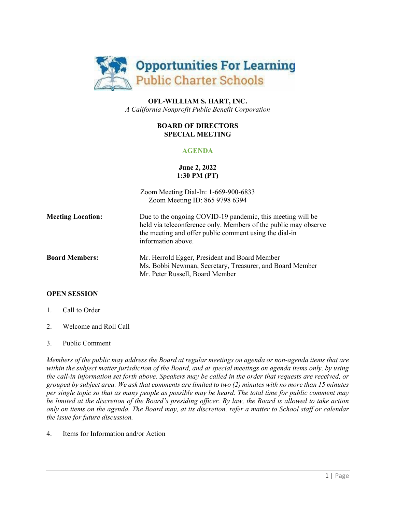

# **OFL-WILLIAM S. HART, INC.** *A California Nonprofit Public Benefit Corporation*

### **BOARD OF DIRECTORS SPECIAL MEETING**

# **AGENDA**

# **June 2, 2022 1:30 PM (PT)**

|                          | Zoom Meeting Dial-In: 1-669-900-6833<br>Zoom Meeting ID: 865 9798 6394                                                                                                                                        |
|--------------------------|---------------------------------------------------------------------------------------------------------------------------------------------------------------------------------------------------------------|
| <b>Meeting Location:</b> | Due to the ongoing COVID-19 pandemic, this meeting will be<br>held via teleconference only. Members of the public may observe<br>the meeting and offer public comment using the dial-in<br>information above. |
| <b>Board Members:</b>    | Mr. Herrold Egger, President and Board Member<br>Ms. Bobbi Newman, Secretary, Treasurer, and Board Member<br>Mr. Peter Russell, Board Member                                                                  |
|                          |                                                                                                                                                                                                               |

# **OPEN SESSION**

- 1. Call to Order
- 2. Welcome and Roll Call

# 3. Public Comment

*Members of the public may address the Board at regular meetings on agenda or non-agenda items that are within the subject matter jurisdiction of the Board, and at special meetings on agenda items only, by using the call-in information set forth above. Speakers may be called in the order that requests are received, or grouped by subject area. We ask that comments are limited to two (2) minutes with no more than 15 minutes per single topic so that as many people as possible may be heard. The total time for public comment may be limited at the discretion of the Board's presiding officer. By law, the Board is allowed to take action only on items on the agenda. The Board may, at its discretion, refer a matter to School staff or calendar the issue for future discussion.*

4. Items for Information and/or Action